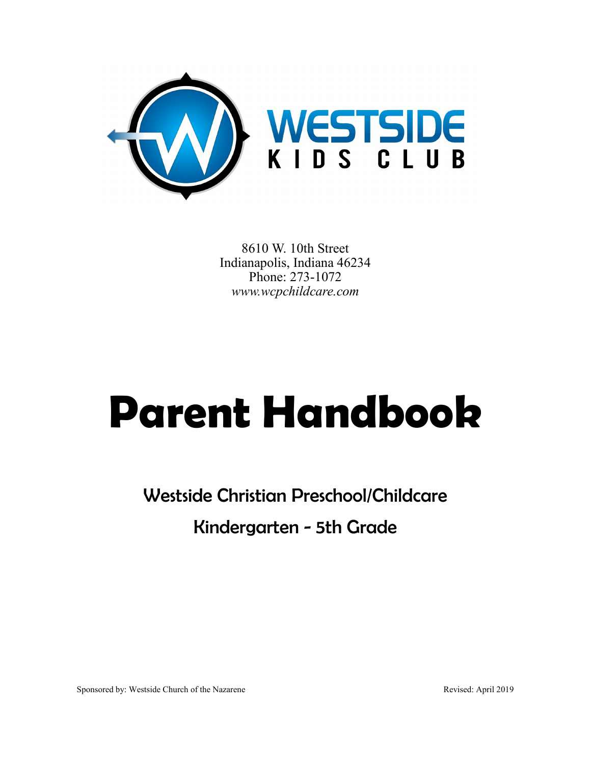

8610 W. 10th Street Indianapolis, Indiana 46234 Phone: 273-1072 *www.wcpchildcare.com*

# **Parent Handbook**

Westside Christian Preschool/Childcare Kindergarten - 5th Grade

Sponsored by: Westside Church of the Nazarene Revised: April 2019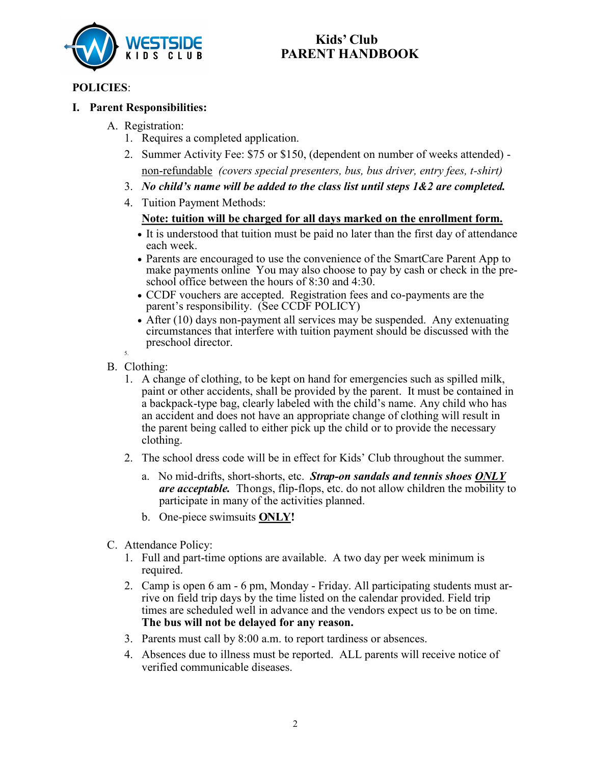

## **Kids' Club PARENT HANDBOOK**

### **POLICIES**:

#### **I. Parent Responsibilities:**

- A. Registration:
	- 1. Requires a completed application.
	- 2. Summer Activity Fee: \$75 or \$150, (dependent on number of weeks attended) non-refundable *(covers special presenters, bus, bus driver, entry fees, t-shirt)*
	- 3. *No child's name will be added to the class list until steps 1&2 are completed.*
	- 4. Tuition Payment Methods:

#### **Note: tuition will be charged for all days marked on the enrollment form.**

- It is understood that tuition must be paid no later than the first day of attendance each week.
- Parents are encouraged to use the convenience of the SmartCare Parent App to make payments online You may also choose to pay by cash or check in the preschool office between the hours of 8:30 and 4:30.
- CCDF vouchers are accepted. Registration fees and co-payments are the parent's responsibility. (See CCDF POLICY)
- After (10) days non-payment all services may be suspended. Any extenuating circumstances that interfere with tuition payment should be discussed with the preschool director.

5.

- B. Clothing:
	- 1. A change of clothing, to be kept on hand for emergencies such as spilled milk, paint or other accidents, shall be provided by the parent. It must be contained in a backpack-type bag, clearly labeled with the child's name. Any child who has an accident and does not have an appropriate change of clothing will result in the parent being called to either pick up the child or to provide the necessary clothing.
	- 2. The school dress code will be in effect for Kids' Club throughout the summer.
		- a. No mid-drifts, short-shorts, etc. *Strap-on sandals and tennis shoes ONLY are acceptable.* Thongs, flip-flops, etc. do not allow children the mobility to participate in many of the activities planned.
		- b. One-piece swimsuits **ONLY!**
- C. Attendance Policy:
	- 1. Full and part-time options are available. A two day per week minimum is required.
	- 2. Camp is open 6 am 6 pm, Monday Friday. All participating students must arrive on field trip days by the time listed on the calendar provided. Field trip times are scheduled well in advance and the vendors expect us to be on time. **The bus will not be delayed for any reason.**
	- 3. Parents must call by 8:00 a.m. to report tardiness or absences.
	- 4. Absences due to illness must be reported. ALL parents will receive notice of verified communicable diseases.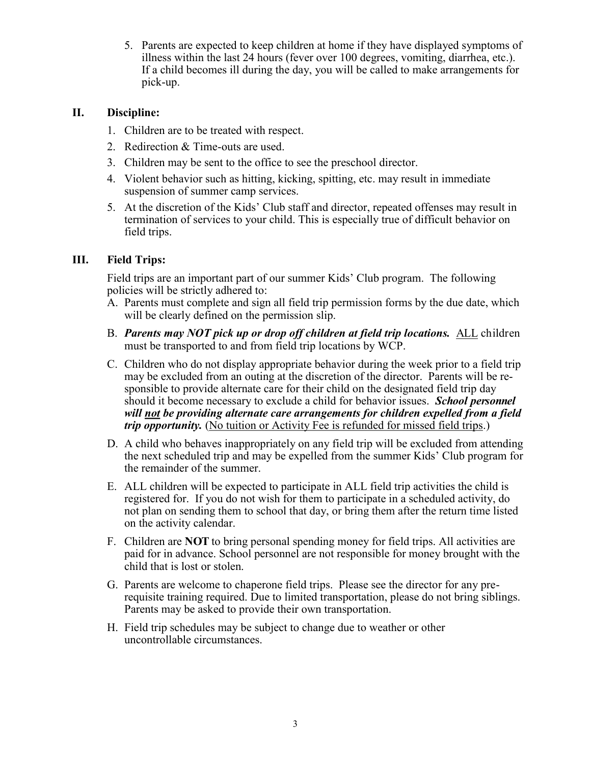5. Parents are expected to keep children at home if they have displayed symptoms of illness within the last 24 hours (fever over 100 degrees, vomiting, diarrhea, etc.). If a child becomes ill during the day, you will be called to make arrangements for pick-up.

#### **II. Discipline:**

- 1. Children are to be treated with respect.
- 2. Redirection & Time-outs are used.
- 3. Children may be sent to the office to see the preschool director.
- 4. Violent behavior such as hitting, kicking, spitting, etc. may result in immediate suspension of summer camp services.
- 5. At the discretion of the Kids' Club staff and director, repeated offenses may result in termination of services to your child. This is especially true of difficult behavior on field trips.

#### **III. Field Trips:**

Field trips are an important part of our summer Kids' Club program. The following policies will be strictly adhered to:

- A. Parents must complete and sign all field trip permission forms by the due date, which will be clearly defined on the permission slip.
- B. *Parents may NOT pick up or drop off children at field trip locations.* ALL children must be transported to and from field trip locations by WCP.
- C. Children who do not display appropriate behavior during the week prior to a field trip may be excluded from an outing at the discretion of the director. Parents will be responsible to provide alternate care for their child on the designated field trip day should it become necessary to exclude a child for behavior issues. *School personnel will not be providing alternate care arrangements for children expelled from a field trip opportunity.* (No tuition or Activity Fee is refunded for missed field trips.)
- D. A child who behaves inappropriately on any field trip will be excluded from attending the next scheduled trip and may be expelled from the summer Kids' Club program for the remainder of the summer.
- E. ALL children will be expected to participate in ALL field trip activities the child is registered for. If you do not wish for them to participate in a scheduled activity, do not plan on sending them to school that day, or bring them after the return time listed on the activity calendar.
- F. Children are **NOT** to bring personal spending money for field trips. All activities are paid for in advance. School personnel are not responsible for money brought with the child that is lost or stolen.
- G. Parents are welcome to chaperone field trips. Please see the director for any prerequisite training required. Due to limited transportation, please do not bring siblings. Parents may be asked to provide their own transportation.
- H. Field trip schedules may be subject to change due to weather or other uncontrollable circumstances.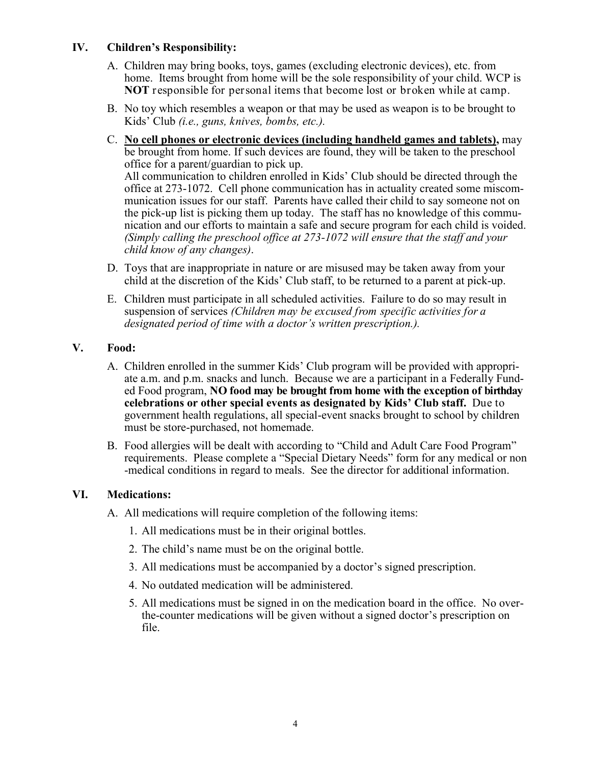#### **IV. Children's Responsibility:**

- A. Children may bring books, toys, games (excluding electronic devices), etc. from home. Items brought from home will be the sole responsibility of your child. WCP is **NOT** responsible for personal items that become lost or broken while at camp.
- B. No toy which resembles a weapon or that may be used as weapon is to be brought to Kids' Club *(i.e., guns, knives, bombs, etc.).*
- C. **No cell phones or electronic devices (including handheld games and tablets),** may be brought from home. If such devices are found, they will be taken to the preschool office for a parent/guardian to pick up. All communication to children enrolled in Kids' Club should be directed through the office at 273-1072. Cell phone communication has in actuality created some miscommunication issues for our staff. Parents have called their child to say someone not on the pick-up list is picking them up today. The staff has no knowledge of this communication and our efforts to maintain a safe and secure program for each child is voided. *(Simply calling the preschool office at 273-1072 will ensure that the staff and your child know of any changes)*.
- D. Toys that are inappropriate in nature or are misused may be taken away from your child at the discretion of the Kids' Club staff, to be returned to a parent at pick-up.
- E. Children must participate in all scheduled activities. Failure to do so may result in suspension of services *(Children may be excused from specific activities for a designated period of time with a doctor's written prescription.).*

#### **V. Food:**

- A. Children enrolled in the summer Kids' Club program will be provided with appropriate a.m. and p.m. snacks and lunch. Because we are a participant in a Federally Funded Food program, **NO food may be brought from home with the exception of birthday celebrations or other special events as designated by Kids' Club staff.** Due to government health regulations, all special-event snacks brought to school by children must be store-purchased, not homemade.
- B. Food allergies will be dealt with according to "Child and Adult Care Food Program" requirements. Please complete a "Special Dietary Needs" form for any medical or non -medical conditions in regard to meals. See the director for additional information.

#### **VI. Medications:**

A. All medications will require completion of the following items:

- 1. All medications must be in their original bottles.
- 2. The child's name must be on the original bottle.
- 3. All medications must be accompanied by a doctor's signed prescription.
- 4. No outdated medication will be administered.
- 5. All medications must be signed in on the medication board in the office. No overthe-counter medications will be given without a signed doctor's prescription on file.